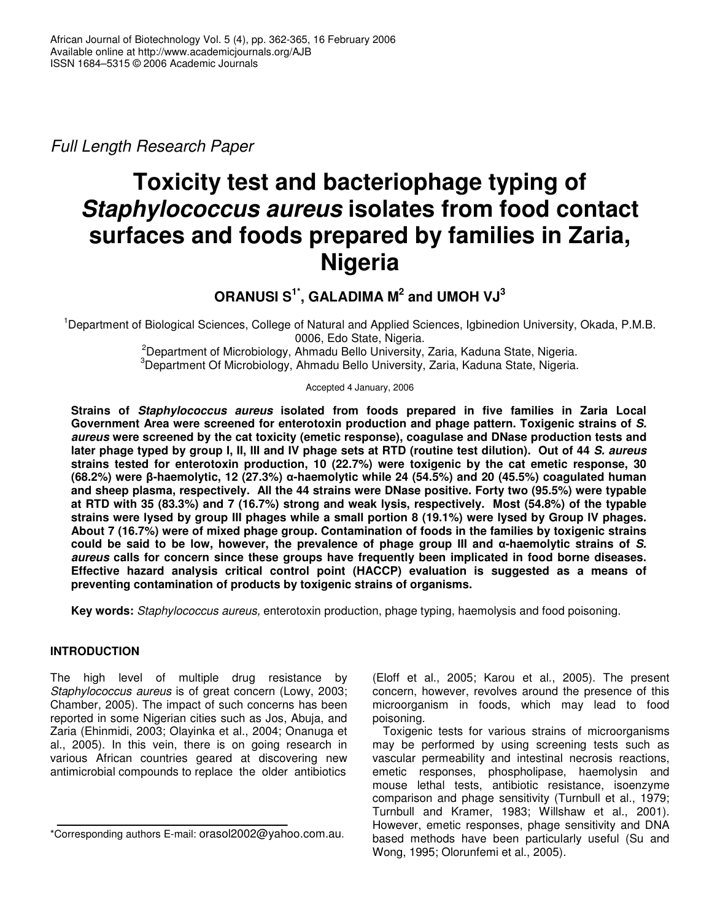*Full Length Research Paper*

# **Toxicity test and bacteriophage typing of** *Staphylococcus aureus* **isolates from food contact surfaces and foods prepared by families in Zaria, Nigeria**

# $\mathsf{ORANUSI} \ \mathsf{S}^{1^*}, \ \mathsf{GALADIMA} \ \mathsf{M}^2 \ \mathsf{and} \ \mathsf{UMOH} \ \mathsf{VJ}^3$

<sup>1</sup>Department of Biological Sciences, College of Natural and Applied Sciences, Igbinedion University, Okada, P.M.B. 0006, Edo State, Nigeria.

<sup>2</sup>Department of Microbiology, Ahmadu Bello University, Zaria, Kaduna State, Nigeria. <sup>3</sup>Department Of Microbiology, Ahmadu Bello University, Zaria, Kaduna State, Nigeria.

Accepted 4 January, 2006

**Strains of** *Staphylococcus aureus* **isolated from foods prepared in five families in Zaria Local Government Area were screened for enterotoxin production and phage pattern. Toxigenic strains of** *S. aureus* **were screened by the cat toxicity (emetic response), coagulase and DNase production tests and** later phage typed by group I, II, III and IV phage sets at RTD (routine test dilution). Out of 44 S. aureus **strains tested for enterotoxin production, 10 (22.7%) were toxigenic by the cat emetic response, 30 (68.2%) were -haemolytic, 12 (27.3%)** -**-haemolytic while 24 (54.5%) and 20 (45.5%) coagulated human and sheep plasma, respectively. All the 44 strains were DNase positive. Forty two (95.5%) were typable** at RTD with 35 (83.3%) and 7 (16.7%) strong and weak lysis, respectively. Most (54.8%) of the typable strains were lysed by group III phages while a small portion 8 (19.1%) were lysed by Group IV phages. **About 7 (16.7%) were of mixed phage group. Contamination of foods in the families by toxigenic strains** could be said to be low, however, the prevalence of phage group III and  $\alpha$ -haemolytic strains of S. *aureus* **calls for concern since these groups have frequently been implicated in food borne diseases. Effective hazard analysis critical control point (HACCP) evaluation is suggested as a means of preventing contamination of products by toxigenic strains of organisms.**

**Key words:** *Staphylococcus aureus,* enterotoxin production, phage typing, haemolysis and food poisoning.

## **INTRODUCTION**

The high level of multiple drug resistance by *Staphylococcus aureus* is of great concern (Lowy, 2003; Chamber, 2005). The impact of such concerns has been reported in some Nigerian cities such as Jos, Abuja, and Zaria (Ehinmidi, 2003; Olayinka et al., 2004; Onanuga et al., 2005). In this vein, there is on going research in various African countries geared at discovering new antimicrobial compounds to replace the older antibiotics

(Eloff et al., 2005; Karou et al., 2005). The present concern, however, revolves around the presence of this microorganism in foods, which may lead to food poisoning.

Toxigenic tests for various strains of microorganisms may be performed by using screening tests such as vascular permeability and intestinal necrosis reactions, emetic responses, phospholipase, haemolysin and mouse lethal tests, antibiotic resistance, isoenzyme comparison and phage sensitivity (Turnbull et al., 1979; Turnbull and Kramer, 1983; Willshaw et al., 2001). However, emetic responses, phage sensitivity and DNA based methods have been particularly useful (Su and Wong, 1995; Olorunfemi et al., 2005).

<sup>\*</sup>Corresponding authors E-mail: orasol2002@yahoo.com.au.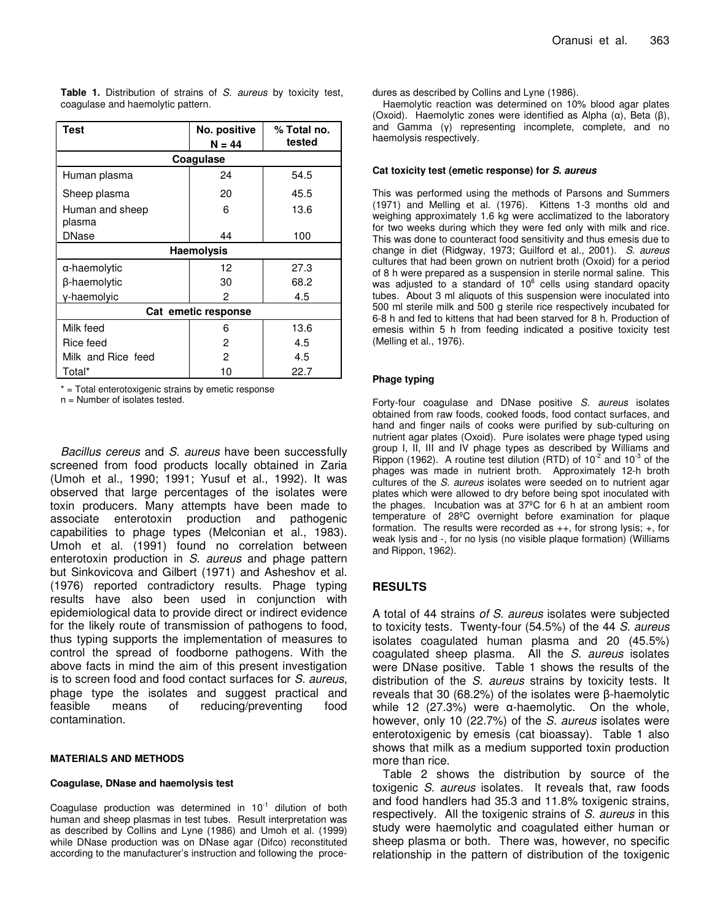**Table 1.** Distribution of strains of *S. aureus* by toxicity test, coagulase and haemolytic pattern.

| Test                      | No. positive<br>$N = 44$ | % Total no.<br>tested |  |  |  |  |
|---------------------------|--------------------------|-----------------------|--|--|--|--|
| Coagulase                 |                          |                       |  |  |  |  |
| Human plasma              | 24                       | 54.5                  |  |  |  |  |
| Sheep plasma              | 20                       | 45.5                  |  |  |  |  |
| Human and sheep<br>plasma | 6                        | 13.6                  |  |  |  |  |
| <b>DNase</b>              | 44                       | 100                   |  |  |  |  |
| <b>Haemolysis</b>         |                          |                       |  |  |  |  |
| α-haemolytic              | 12                       | 27.3                  |  |  |  |  |
| β-haemolγtic              | 30                       | 68.2                  |  |  |  |  |
| y-haemolyic               | 2                        | 4.5                   |  |  |  |  |
| Cat emetic response       |                          |                       |  |  |  |  |
| Milk feed                 | 6                        | 13.6                  |  |  |  |  |
| Rice feed                 | 2                        | 4.5                   |  |  |  |  |
| Milk and Rice feed        | 2                        | 4.5                   |  |  |  |  |
| Total*                    | 10                       | 22.7                  |  |  |  |  |

\* = Total enterotoxigenic strains by emetic response

n = Number of isolates tested.

*Bacillus cereus* and *S. aureus* have been successfully screened from food products locally obtained in Zaria (Umoh et al., 1990; 1991; Yusuf et al., 1992). It was observed that large percentages of the isolates were toxin producers. Many attempts have been made to associate enterotoxin production and pathogenic capabilities to phage types (Melconian et al., 1983). Umoh et al. (1991) found no correlation between enterotoxin production in *S. aureus* and phage pattern but Sinkovicova and Gilbert (1971) and Asheshov et al. (1976) reported contradictory results. Phage typing results have also been used in conjunction with epidemiological data to provide direct or indirect evidence for the likely route of transmission of pathogens to food, thus typing supports the implementation of measures to control the spread of foodborne pathogens. With the above facts in mind the aim of this present investigation is to screen food and food contact surfaces for *S. aureus*, phage type the isolates and suggest practical and feasible means of reducing/preventing food contamination.

#### **MATERIALS AND METHODS**

#### **Coagulase, DNase and haemolysis test**

Coagulase production was determined in  $10^{-1}$  dilution of both human and sheep plasmas in test tubes. Result interpretation was as described by Collins and Lyne (1986) and Umoh et al. (1999) while DNase production was on DNase agar (Difco) reconstituted according to the manufacturer's instruction and following the procedures as described by Collins and Lyne (1986).

Haemolytic reaction was determined on 10% blood agar plates (Oxoid). Haemolytic zones were identified as Alpha  $(\alpha)$ , Beta  $(\beta)$ , and Gamma  $(y)$  representing incomplete, complete, and no haemolysis respectively.

#### **Cat toxicity test (emetic response) for** *S. aureus*

This was performed using the methods of Parsons and Summers (1971) and Melling et al. (1976). Kittens 1-3 months old and weighing approximately 1.6 kg were acclimatized to the laboratory for two weeks during which they were fed only with milk and rice. This was done to counteract food sensitivity and thus emesis due to change in diet (Ridgway, 1973; Guilford et al., 2001). *S. aureus* cultures that had been grown on nutrient broth (Oxoid) for a period of 8 h were prepared as a suspension in sterile normal saline. This was adjusted to a standard of 10 $^6$  cells using standard opacity tubes. About 3 ml aliquots of this suspension were inoculated into 500 ml sterile milk and 500 g sterile rice respectively incubated for 6-8 h and fed to kittens that had been starved for 8 h. Production of emesis within 5 h from feeding indicated a positive toxicity test (Melling et al., 1976).

#### **Phage typing**

Forty-four coagulase and DNase positive *S. aureus* isolates obtained from raw foods, cooked foods, food contact surfaces, and hand and finger nails of cooks were purified by sub-culturing on nutrient agar plates (Oxoid). Pure isolates were phage typed using group I, II, III and IV phage types as described by Williams and Rippon (1962). A routine test dilution (RTD) of  $10^{-2}$  and  $10^{-3}$  of the phages was made in nutrient broth. Approximately 12-h broth cultures of the *S. aureus* isolates were seeded on to nutrient agar plates which were allowed to dry before being spot inoculated with the phages. Incubation was at 37ºC for 6 h at an ambient room temperature of 28ºC overnight before examination for plaque formation. The results were recorded as  $++$ , for strong lysis;  $+$ , for weak lysis and -, for no lysis (no visible plaque formation) (Williams and Rippon, 1962).

#### **RESULTS**

A total of 44 strains *of S. aureus* isolates were subjected to toxicity tests. Twenty-four (54.5%) of the 44 *S. aureus* isolates coagulated human plasma and 20 (45.5%) coagulated sheep plasma. All the *S. aureus* isolates were DNase positive. Table 1 shows the results of the distribution of the *S. aureus* strains by toxicity tests. It reveals that 30 (68.2%) of the isolates were  $\beta$ -haemolytic while 12 (27.3%) were  $\alpha$ -haemolytic. On the whole, however, only 10 (22.7%) of the *S. aureus* isolates were enterotoxigenic by emesis (cat bioassay). Table 1 also shows that milk as a medium supported toxin production more than rice.

Table 2 shows the distribution by source of the toxigenic *S. aureus* isolates. It reveals that, raw foods and food handlers had 35.3 and 11.8% toxigenic strains, respectively. All the toxigenic strains of *S. aureus* in this study were haemolytic and coagulated either human or sheep plasma or both. There was, however, no specific relationship in the pattern of distribution of the toxigenic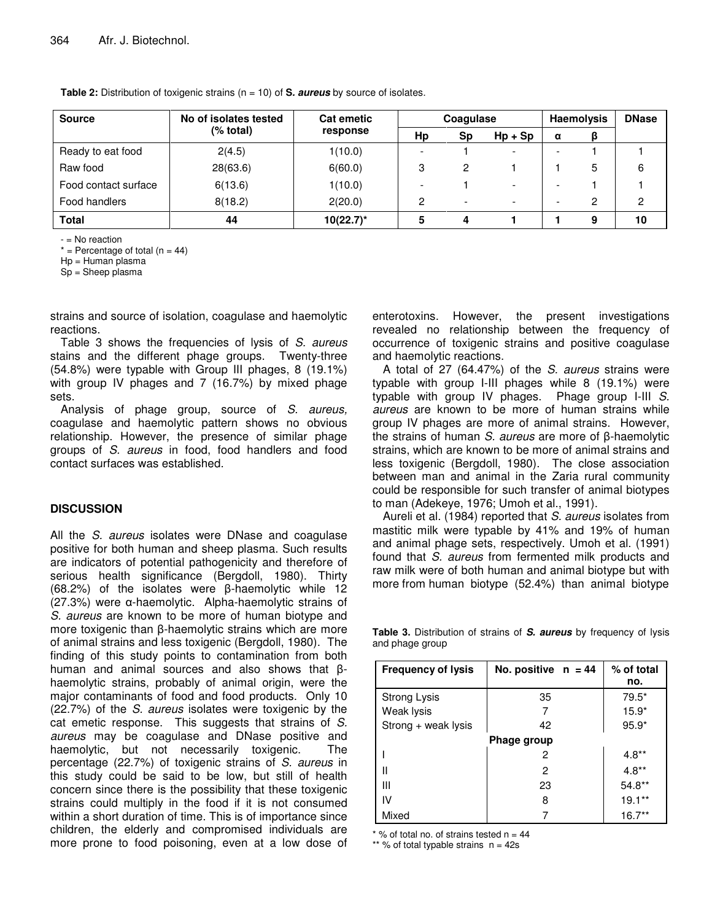**Table 2:** Distribution of toxigenic strains (n = 10) of **S***. aureus* by source of isolates.

| <b>Source</b>        | No of isolates tested | <b>Cat emetic</b><br>response | Coagulase |    | <b>Haemolysis</b>        |   | <b>DNase</b> |    |
|----------------------|-----------------------|-------------------------------|-----------|----|--------------------------|---|--------------|----|
|                      | $%$ total)            |                               | Hp        | Sp | $Hp + Sp$                | α |              |    |
| Ready to eat food    | 2(4.5)                | 1(10.0)                       |           |    | $\overline{\phantom{a}}$ |   |              |    |
| Raw food             | 28(63.6)              | 6(60.0)                       | 3         | 2  |                          |   | 5            | 6  |
| Food contact surface | 6(13.6)               | 1(10.0)                       |           |    | $\overline{\phantom{a}}$ |   |              |    |
| Food handlers        | 8(18.2)               | 2(20.0)                       | o         | -  | $\overline{\phantom{a}}$ |   | 2            | 2  |
| <b>Total</b>         | 44                    | $10(22.7)^*$                  |           | 4  |                          |   | 9            | 10 |

- = No reaction

 $*$  = Percentage of total (n = 44)

Hp = Human plasma

Sp = Sheep plasma

strains and source of isolation, coagulase and haemolytic reactions.

Table 3 shows the frequencies of lysis of *S. aureus* stains and the different phage groups. Twenty-three (54.8%) were typable with Group III phages, 8 (19.1%) with group IV phages and 7 (16.7%) by mixed phage sets.

Analysis of phage group, source of *S. aureus,* coagulase and haemolytic pattern shows no obvious relationship. However, the presence of similar phage groups of *S. aureus* in food, food handlers and food contact surfaces was established.

### **DISCUSSION**

All the *S. aureus* isolates were DNase and coagulase positive for both human and sheep plasma. Such results are indicators of potential pathogenicity and therefore of serious health significance (Bergdoll, 1980). Thirty  $(68.2%)$  of the isolates were  $\beta$ -haemolytic while 12 (27.3%) were  $\alpha$ -haemolytic. Alpha-haemolytic strains of *S. aureus* are known to be more of human biotype and more toxigenic than β-haemolytic strains which are more of animal strains and less toxigenic (Bergdoll, 1980). The finding of this study points to contamination from both human and animal sources and also shows that  $\beta$ haemolytic strains, probably of animal origin, were the major contaminants of food and food products. Only 10 (22.7%) of the *S. aureus* isolates were toxigenic by the cat emetic response. This suggests that strains of *S. aureus* may be coagulase and DNase positive and haemolytic, but not necessarily toxigenic. The percentage (22.7%) of toxigenic strains of *S. aureus* in this study could be said to be low, but still of health concern since there is the possibility that these toxigenic strains could multiply in the food if it is not consumed within a short duration of time. This is of importance since children, the elderly and compromised individuals are more prone to food poisoning, even at a low dose of enterotoxins. However, the present investigations revealed no relationship between the frequency of occurrence of toxigenic strains and positive coagulase and haemolytic reactions.

A total of 27 (64.47%) of the *S. aureus* strains were typable with group I-III phages while 8 (19.1%) were typable with group IV phages. Phage group I-III *S. aureus* are known to be more of human strains while group IV phages are more of animal strains. However, the strains of human *S. aureus* are more of β-haemolytic strains, which are known to be more of animal strains and less toxigenic (Bergdoll, 1980). The close association between man and animal in the Zaria rural community could be responsible for such transfer of animal biotypes to man (Adekeye, 1976; Umoh et al., 1991).

Aureli et al. (1984) reported that *S. aureus* isolates from mastitic milk were typable by 41% and 19% of human and animal phage sets, respectively. Umoh et al. (1991) found that *S. aureus* from fermented milk products and raw milk were of both human and animal biotype but with more from human biotype (52.4%) than animal biotype

**Table 3.** Distribution of strains of *S. aureus* by frequency of lysis and phage group

| <b>Frequency of lysis</b> | No. positive $n = 44$ | % of total<br>no. |  |  |  |  |
|---------------------------|-----------------------|-------------------|--|--|--|--|
| Strong Lysis              | 35                    | $79.5*$           |  |  |  |  |
| Weak lysis                |                       | $15.9*$           |  |  |  |  |
| $Strong + weak lysis$     | 42                    | $95.9*$           |  |  |  |  |
| Phage group               |                       |                   |  |  |  |  |
|                           | 2                     | $4.8**$           |  |  |  |  |
| Ш                         | 2                     | $4.8**$           |  |  |  |  |
| Ш                         | 23                    | $54.8**$          |  |  |  |  |
| IV                        | 8                     | $19.1**$          |  |  |  |  |
| Mixed                     |                       | $16.7**$          |  |  |  |  |

 $*$  % of total no. of strains tested  $n = 44$ 

\*\* % of total typable strains  $n = 42s$